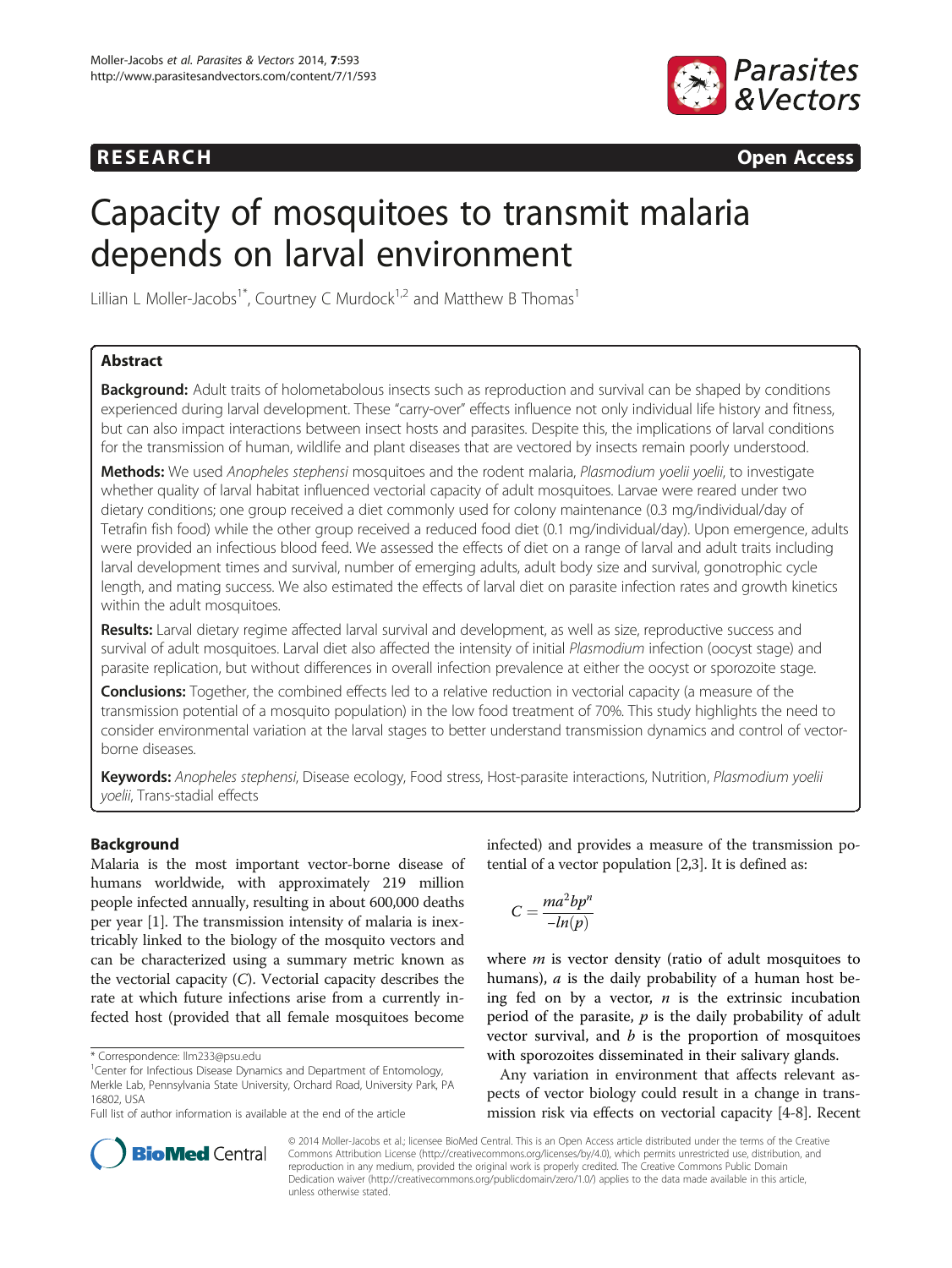# **RESEARCH RESEARCH CONSUMING ACCESS**



# Capacity of mosquitoes to transmit malaria depends on larval environment

Lillian L Moller-Jacobs<sup>1\*</sup>, Courtney C Murdock<sup>1,2</sup> and Matthew B Thomas<sup>1</sup>

# Abstract

**Background:** Adult traits of holometabolous insects such as reproduction and survival can be shaped by conditions experienced during larval development. These "carry-over" effects influence not only individual life history and fitness, but can also impact interactions between insect hosts and parasites. Despite this, the implications of larval conditions for the transmission of human, wildlife and plant diseases that are vectored by insects remain poorly understood.

Methods: We used Anopheles stephensi mosquitoes and the rodent malaria, Plasmodium yoelii yoelii, to investigate whether quality of larval habitat influenced vectorial capacity of adult mosquitoes. Larvae were reared under two dietary conditions; one group received a diet commonly used for colony maintenance (0.3 mg/individual/day of Tetrafin fish food) while the other group received a reduced food diet (0.1 mg/individual/day). Upon emergence, adults were provided an infectious blood feed. We assessed the effects of diet on a range of larval and adult traits including larval development times and survival, number of emerging adults, adult body size and survival, gonotrophic cycle length, and mating success. We also estimated the effects of larval diet on parasite infection rates and growth kinetics within the adult mosquitoes.

Results: Larval dietary regime affected larval survival and development, as well as size, reproductive success and survival of adult mosquitoes. Larval diet also affected the intensity of initial Plasmodium infection (oocyst stage) and parasite replication, but without differences in overall infection prevalence at either the oocyst or sporozoite stage.

Conclusions: Together, the combined effects led to a relative reduction in vectorial capacity (a measure of the transmission potential of a mosquito population) in the low food treatment of 70%. This study highlights the need to consider environmental variation at the larval stages to better understand transmission dynamics and control of vectorborne diseases.

Keywords: Anopheles stephensi, Disease ecology, Food stress, Host-parasite interactions, Nutrition, Plasmodium yoelii yoelii, Trans-stadial effects

# Background

Malaria is the most important vector-borne disease of humans worldwide, with approximately 219 million people infected annually, resulting in about 600,000 deaths per year [\[1](#page-9-0)]. The transmission intensity of malaria is inextricably linked to the biology of the mosquito vectors and can be characterized using a summary metric known as the vectorial capacity (C). Vectorial capacity describes the rate at which future infections arise from a currently infected host (provided that all female mosquitoes become

infected) and provides a measure of the transmission potential of a vector population [[2,3](#page-9-0)]. It is defined as:

$$
C = \frac{ma^2bp^n}{-ln(p)}
$$

where  $m$  is vector density (ratio of adult mosquitoes to humans),  $a$  is the daily probability of a human host being fed on by a vector,  $n$  is the extrinsic incubation period of the parasite,  $p$  is the daily probability of adult vector survival, and  $b$  is the proportion of mosquitoes with sporozoites disseminated in their salivary glands.

Any variation in environment that affects relevant aspects of vector biology could result in a change in transmission risk via effects on vectorial capacity [[4-8\]](#page-9-0). Recent



© 2014 Moller-Jacobs et al.; licensee BioMed Central. This is an Open Access article distributed under the terms of the Creative Commons Attribution License [\(http://creativecommons.org/licenses/by/4.0\)](http://creativecommons.org/licenses/by/4.0), which permits unrestricted use, distribution, and reproduction in any medium, provided the original work is properly credited. The Creative Commons Public Domain Dedication waiver [\(http://creativecommons.org/publicdomain/zero/1.0/](http://creativecommons.org/publicdomain/zero/1.0/)) applies to the data made available in this article, unless otherwise stated.

<sup>\*</sup> Correspondence: [llm233@psu.edu](mailto:llm233@psu.edu) <sup>1</sup>

<sup>&</sup>lt;sup>1</sup> Center for Infectious Disease Dynamics and Department of Entomology, Merkle Lab, Pennsylvania State University, Orchard Road, University Park, PA 16802, USA

Full list of author information is available at the end of the article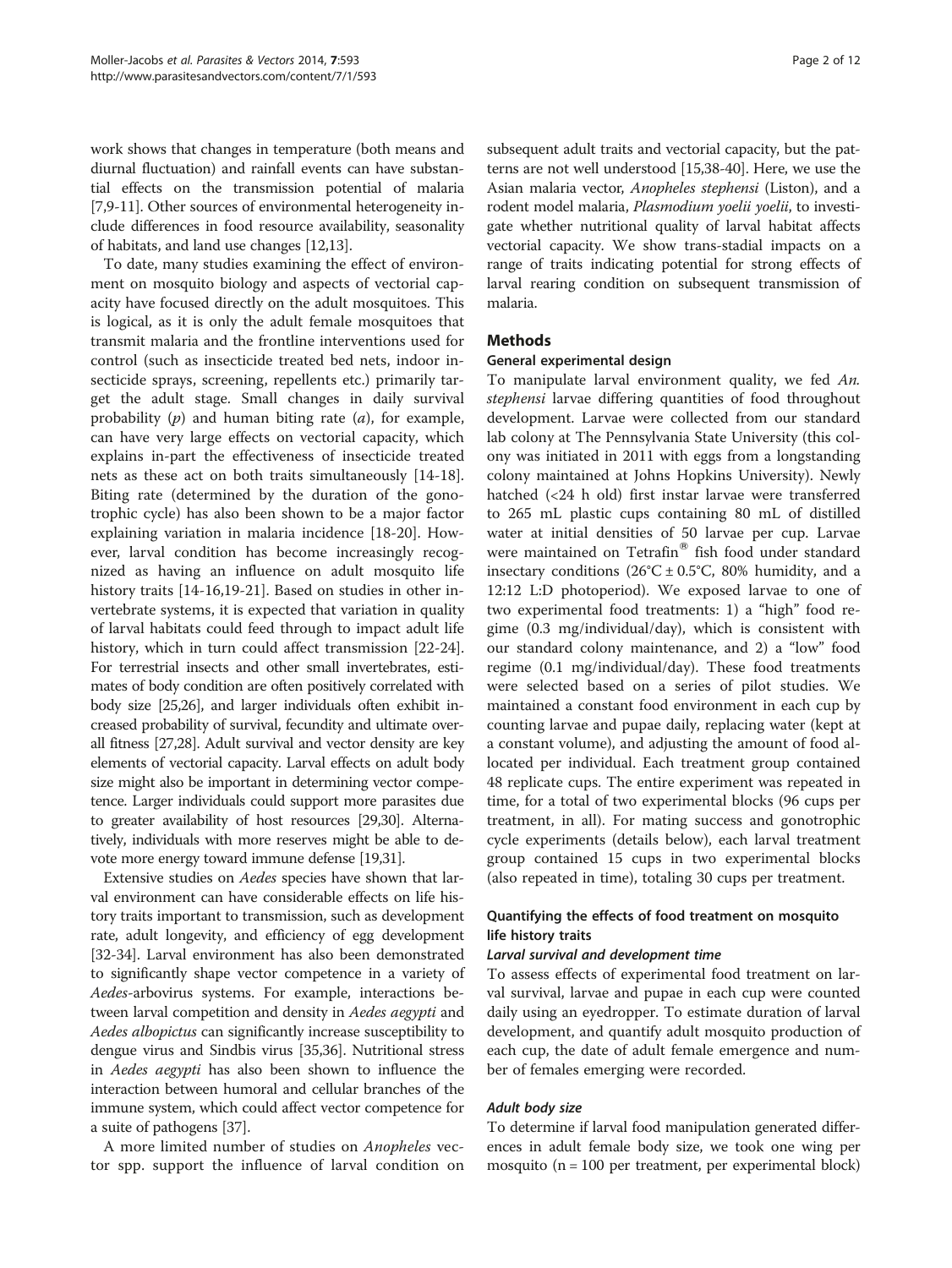work shows that changes in temperature (both means and diurnal fluctuation) and rainfall events can have substantial effects on the transmission potential of malaria [[7,9-11\]](#page-9-0). Other sources of environmental heterogeneity include differences in food resource availability, seasonality of habitats, and land use changes [\[12,13](#page-9-0)].

To date, many studies examining the effect of environment on mosquito biology and aspects of vectorial capacity have focused directly on the adult mosquitoes. This is logical, as it is only the adult female mosquitoes that transmit malaria and the frontline interventions used for control (such as insecticide treated bed nets, indoor insecticide sprays, screening, repellents etc.) primarily target the adult stage. Small changes in daily survival probability  $(p)$  and human biting rate  $(a)$ , for example, can have very large effects on vectorial capacity, which explains in-part the effectiveness of insecticide treated nets as these act on both traits simultaneously [[14-18](#page-9-0)]. Biting rate (determined by the duration of the gonotrophic cycle) has also been shown to be a major factor explaining variation in malaria incidence [[18-20](#page-9-0)]. However, larval condition has become increasingly recognized as having an influence on adult mosquito life history traits [[14-16,19-21](#page-9-0)]. Based on studies in other invertebrate systems, it is expected that variation in quality of larval habitats could feed through to impact adult life history, which in turn could affect transmission [\[22-24](#page-10-0)]. For terrestrial insects and other small invertebrates, estimates of body condition are often positively correlated with body size [\[25,26\]](#page-10-0), and larger individuals often exhibit increased probability of survival, fecundity and ultimate overall fitness [\[27,28](#page-10-0)]. Adult survival and vector density are key elements of vectorial capacity. Larval effects on adult body size might also be important in determining vector competence. Larger individuals could support more parasites due to greater availability of host resources [\[29,30\]](#page-10-0). Alternatively, individuals with more reserves might be able to devote more energy toward immune defense [[19](#page-9-0)[,31\]](#page-10-0).

Extensive studies on Aedes species have shown that larval environment can have considerable effects on life history traits important to transmission, such as development rate, adult longevity, and efficiency of egg development [[32](#page-10-0)-[34](#page-10-0)]. Larval environment has also been demonstrated to significantly shape vector competence in a variety of Aedes-arbovirus systems. For example, interactions between larval competition and density in Aedes aegypti and Aedes albopictus can significantly increase susceptibility to dengue virus and Sindbis virus [\[35,36](#page-10-0)]. Nutritional stress in Aedes aegypti has also been shown to influence the interaction between humoral and cellular branches of the immune system, which could affect vector competence for a suite of pathogens [[37](#page-10-0)].

A more limited number of studies on Anopheles vector spp. support the influence of larval condition on

subsequent adult traits and vectorial capacity, but the patterns are not well understood [\[15,](#page-9-0)[38](#page-10-0)-[40](#page-10-0)]. Here, we use the Asian malaria vector, Anopheles stephensi (Liston), and a rodent model malaria, Plasmodium yoelii yoelii, to investigate whether nutritional quality of larval habitat affects vectorial capacity. We show trans-stadial impacts on a range of traits indicating potential for strong effects of larval rearing condition on subsequent transmission of malaria.

# **Methods**

# General experimental design

To manipulate larval environment quality, we fed An. stephensi larvae differing quantities of food throughout development. Larvae were collected from our standard lab colony at The Pennsylvania State University (this colony was initiated in 2011 with eggs from a longstanding colony maintained at Johns Hopkins University). Newly hatched (<24 h old) first instar larvae were transferred to 265 mL plastic cups containing 80 mL of distilled water at initial densities of 50 larvae per cup. Larvae were maintained on Tetrafin $^{\circledR}$  fish food under standard insectary conditions  $(26^{\circ}C \pm 0.5^{\circ}C, 80\%$  humidity, and a 12:12 L:D photoperiod). We exposed larvae to one of two experimental food treatments: 1) a "high" food regime (0.3 mg/individual/day), which is consistent with our standard colony maintenance, and 2) a "low" food regime (0.1 mg/individual/day). These food treatments were selected based on a series of pilot studies. We maintained a constant food environment in each cup by counting larvae and pupae daily, replacing water (kept at a constant volume), and adjusting the amount of food allocated per individual. Each treatment group contained 48 replicate cups. The entire experiment was repeated in time, for a total of two experimental blocks (96 cups per treatment, in all). For mating success and gonotrophic cycle experiments (details below), each larval treatment group contained 15 cups in two experimental blocks (also repeated in time), totaling 30 cups per treatment.

# Quantifying the effects of food treatment on mosquito life history traits

#### Larval survival and development time

To assess effects of experimental food treatment on larval survival, larvae and pupae in each cup were counted daily using an eyedropper. To estimate duration of larval development, and quantify adult mosquito production of each cup, the date of adult female emergence and number of females emerging were recorded.

# Adult body size

To determine if larval food manipulation generated differences in adult female body size, we took one wing per mosquito ( $n = 100$  per treatment, per experimental block)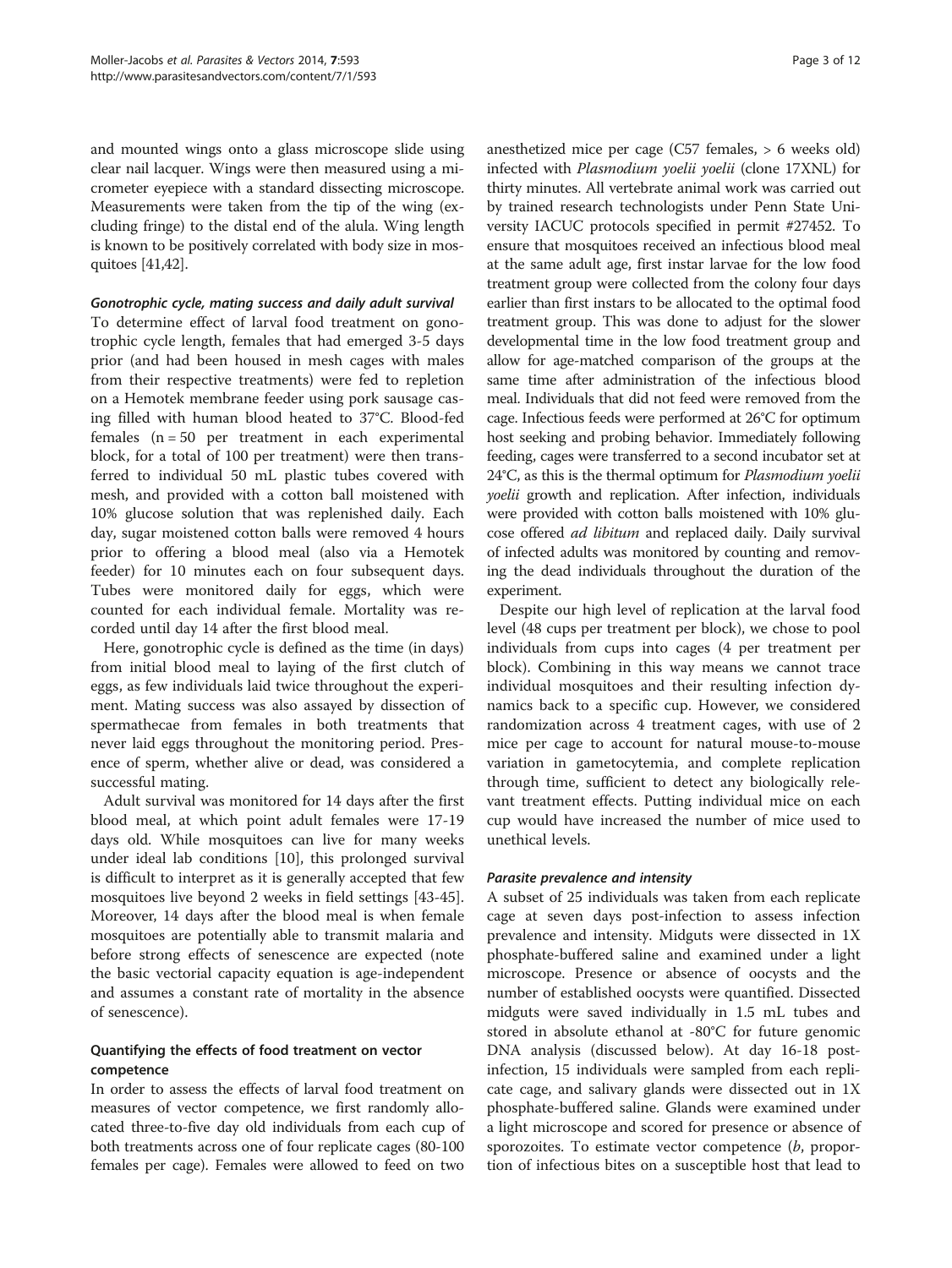and mounted wings onto a glass microscope slide using clear nail lacquer. Wings were then measured using a micrometer eyepiece with a standard dissecting microscope. Measurements were taken from the tip of the wing (excluding fringe) to the distal end of the alula. Wing length is known to be positively correlated with body size in mosquitoes [\[41,42\]](#page-10-0).

# Gonotrophic cycle, mating success and daily adult survival

To determine effect of larval food treatment on gonotrophic cycle length, females that had emerged 3-5 days prior (and had been housed in mesh cages with males from their respective treatments) were fed to repletion on a Hemotek membrane feeder using pork sausage casing filled with human blood heated to 37°C. Blood-fed females (n = 50 per treatment in each experimental block, for a total of 100 per treatment) were then transferred to individual 50 mL plastic tubes covered with mesh, and provided with a cotton ball moistened with 10% glucose solution that was replenished daily. Each day, sugar moistened cotton balls were removed 4 hours prior to offering a blood meal (also via a Hemotek feeder) for 10 minutes each on four subsequent days. Tubes were monitored daily for eggs, which were counted for each individual female. Mortality was recorded until day 14 after the first blood meal.

Here, gonotrophic cycle is defined as the time (in days) from initial blood meal to laying of the first clutch of eggs, as few individuals laid twice throughout the experiment. Mating success was also assayed by dissection of spermathecae from females in both treatments that never laid eggs throughout the monitoring period. Presence of sperm, whether alive or dead, was considered a successful mating.

Adult survival was monitored for 14 days after the first blood meal, at which point adult females were 17-19 days old. While mosquitoes can live for many weeks under ideal lab conditions [[10\]](#page-9-0), this prolonged survival is difficult to interpret as it is generally accepted that few mosquitoes live beyond 2 weeks in field settings [\[43-45](#page-10-0)]. Moreover, 14 days after the blood meal is when female mosquitoes are potentially able to transmit malaria and before strong effects of senescence are expected (note the basic vectorial capacity equation is age-independent and assumes a constant rate of mortality in the absence of senescence).

# Quantifying the effects of food treatment on vector competence

In order to assess the effects of larval food treatment on measures of vector competence, we first randomly allocated three-to-five day old individuals from each cup of both treatments across one of four replicate cages (80-100 females per cage). Females were allowed to feed on two

anesthetized mice per cage (C57 females, > 6 weeks old) infected with Plasmodium yoelii yoelii (clone 17XNL) for thirty minutes. All vertebrate animal work was carried out by trained research technologists under Penn State University IACUC protocols specified in permit #27452. To ensure that mosquitoes received an infectious blood meal at the same adult age, first instar larvae for the low food treatment group were collected from the colony four days earlier than first instars to be allocated to the optimal food treatment group. This was done to adjust for the slower developmental time in the low food treatment group and allow for age-matched comparison of the groups at the same time after administration of the infectious blood meal. Individuals that did not feed were removed from the cage. Infectious feeds were performed at 26°C for optimum host seeking and probing behavior. Immediately following feeding, cages were transferred to a second incubator set at 24°C, as this is the thermal optimum for Plasmodium yoelii yoelii growth and replication. After infection, individuals were provided with cotton balls moistened with 10% glucose offered ad libitum and replaced daily. Daily survival of infected adults was monitored by counting and removing the dead individuals throughout the duration of the experiment.

Despite our high level of replication at the larval food level (48 cups per treatment per block), we chose to pool individuals from cups into cages (4 per treatment per block). Combining in this way means we cannot trace individual mosquitoes and their resulting infection dynamics back to a specific cup. However, we considered randomization across 4 treatment cages, with use of 2 mice per cage to account for natural mouse-to-mouse variation in gametocytemia, and complete replication through time, sufficient to detect any biologically relevant treatment effects. Putting individual mice on each cup would have increased the number of mice used to unethical levels.

# Parasite prevalence and intensity

A subset of 25 individuals was taken from each replicate cage at seven days post-infection to assess infection prevalence and intensity. Midguts were dissected in 1X phosphate-buffered saline and examined under a light microscope. Presence or absence of oocysts and the number of established oocysts were quantified. Dissected midguts were saved individually in 1.5 mL tubes and stored in absolute ethanol at -80°C for future genomic DNA analysis (discussed below). At day 16-18 postinfection, 15 individuals were sampled from each replicate cage, and salivary glands were dissected out in 1X phosphate-buffered saline. Glands were examined under a light microscope and scored for presence or absence of sporozoites. To estimate vector competence  $(b,$  proportion of infectious bites on a susceptible host that lead to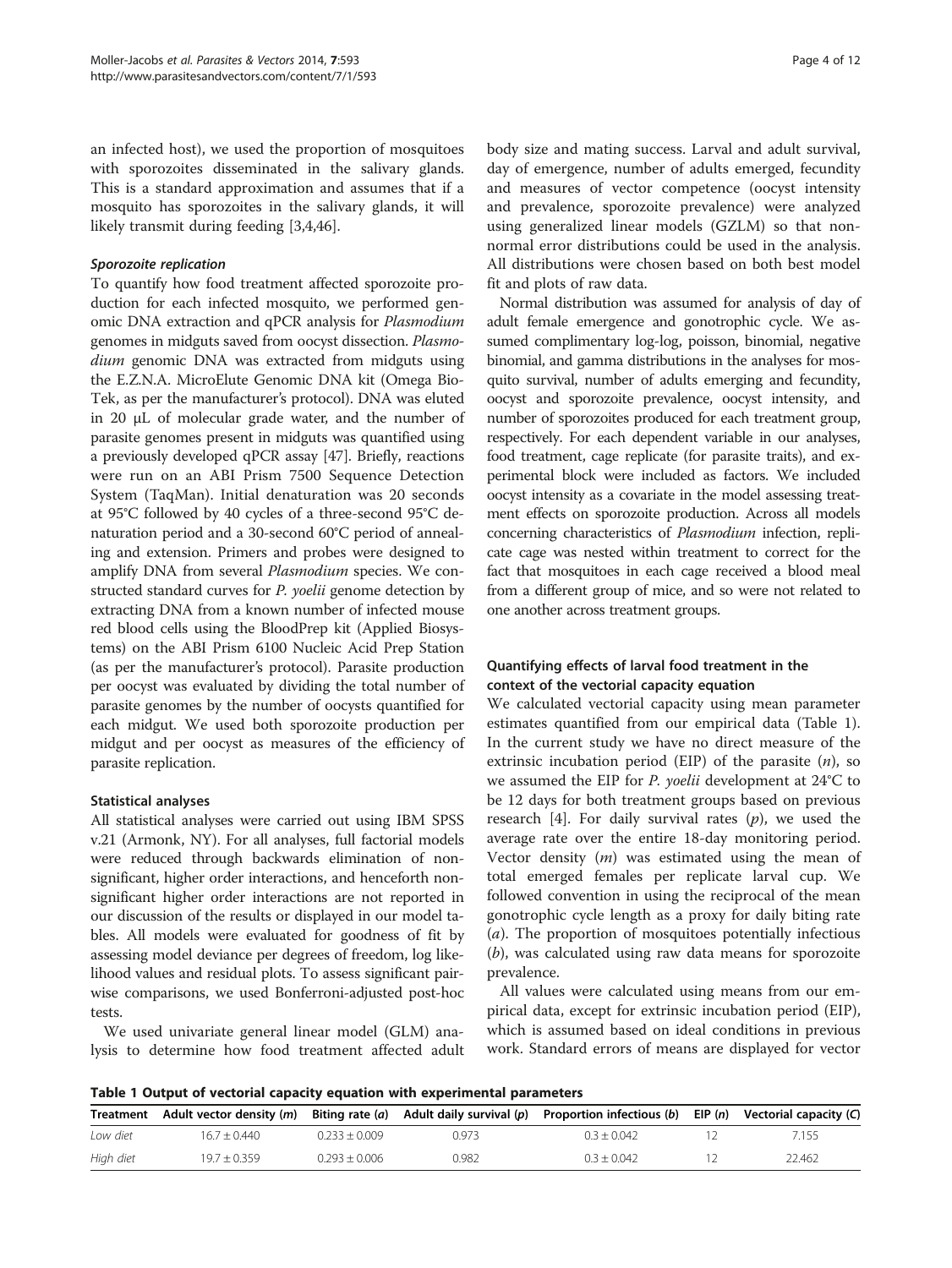an infected host), we used the proportion of mosquitoes with sporozoites disseminated in the salivary glands. This is a standard approximation and assumes that if a mosquito has sporozoites in the salivary glands, it will likely transmit during feeding [[3,4,](#page-9-0)[46\]](#page-10-0).

# Sporozoite replication

To quantify how food treatment affected sporozoite production for each infected mosquito, we performed genomic DNA extraction and qPCR analysis for Plasmodium genomes in midguts saved from oocyst dissection. Plasmodium genomic DNA was extracted from midguts using the E.Z.N.A. MicroElute Genomic DNA kit (Omega Bio-Tek, as per the manufacturer's protocol). DNA was eluted in 20 μL of molecular grade water, and the number of parasite genomes present in midguts was quantified using a previously developed qPCR assay [\[47](#page-10-0)]. Briefly, reactions were run on an ABI Prism 7500 Sequence Detection System (TaqMan). Initial denaturation was 20 seconds at 95°C followed by 40 cycles of a three-second 95°C denaturation period and a 30-second 60°C period of annealing and extension. Primers and probes were designed to amplify DNA from several Plasmodium species. We constructed standard curves for P. yoelii genome detection by extracting DNA from a known number of infected mouse red blood cells using the BloodPrep kit (Applied Biosystems) on the ABI Prism 6100 Nucleic Acid Prep Station (as per the manufacturer's protocol). Parasite production per oocyst was evaluated by dividing the total number of parasite genomes by the number of oocysts quantified for each midgut. We used both sporozoite production per midgut and per oocyst as measures of the efficiency of parasite replication.

#### Statistical analyses

All statistical analyses were carried out using IBM SPSS v.21 (Armonk, NY). For all analyses, full factorial models were reduced through backwards elimination of nonsignificant, higher order interactions, and henceforth nonsignificant higher order interactions are not reported in our discussion of the results or displayed in our model tables. All models were evaluated for goodness of fit by assessing model deviance per degrees of freedom, log likelihood values and residual plots. To assess significant pairwise comparisons, we used Bonferroni-adjusted post-hoc tests.

We used univariate general linear model (GLM) analysis to determine how food treatment affected adult body size and mating success. Larval and adult survival, day of emergence, number of adults emerged, fecundity and measures of vector competence (oocyst intensity and prevalence, sporozoite prevalence) were analyzed using generalized linear models (GZLM) so that non-

normal error distributions could be used in the analysis. All distributions were chosen based on both best model

fit and plots of raw data. Normal distribution was assumed for analysis of day of adult female emergence and gonotrophic cycle. We assumed complimentary log-log, poisson, binomial, negative binomial, and gamma distributions in the analyses for mosquito survival, number of adults emerging and fecundity, oocyst and sporozoite prevalence, oocyst intensity, and number of sporozoites produced for each treatment group, respectively. For each dependent variable in our analyses, food treatment, cage replicate (for parasite traits), and experimental block were included as factors. We included oocyst intensity as a covariate in the model assessing treatment effects on sporozoite production. Across all models concerning characteristics of Plasmodium infection, replicate cage was nested within treatment to correct for the fact that mosquitoes in each cage received a blood meal from a different group of mice, and so were not related to one another across treatment groups.

# Quantifying effects of larval food treatment in the context of the vectorial capacity equation

We calculated vectorial capacity using mean parameter estimates quantified from our empirical data (Table 1). In the current study we have no direct measure of the extrinsic incubation period (EIP) of the parasite  $(n)$ , so we assumed the EIP for P. yoelii development at 24°C to be 12 days for both treatment groups based on previous research [\[4\]](#page-9-0). For daily survival rates  $(p)$ , we used the average rate over the entire 18-day monitoring period. Vector density  $(m)$  was estimated using the mean of total emerged females per replicate larval cup. We followed convention in using the reciprocal of the mean gonotrophic cycle length as a proxy for daily biting rate (a). The proportion of mosquitoes potentially infectious (b), was calculated using raw data means for sporozoite prevalence.

All values were calculated using means from our empirical data, except for extrinsic incubation period (EIP), which is assumed based on ideal conditions in previous work. Standard errors of means are displayed for vector

Table 1 Output of vectorial capacity equation with experimental parameters

|           |                |                 |       | Treatment Adult vector density $(m)$ Biting rate (a) Adult daily survival (p) Proportion infectious (b) EIP (n) Vectorial capacity (C) |  |        |  |  |  |  |
|-----------|----------------|-----------------|-------|----------------------------------------------------------------------------------------------------------------------------------------|--|--------|--|--|--|--|
| I ow diet | $16.7 + 0.440$ | $0.233 + 0.009$ | በ 973 | $0.3 + 0.042$                                                                                                                          |  | 7.155  |  |  |  |  |
| High diet | $19.7 + 0.359$ | $0.293 + 0.006$ | 0.982 | $03 + 0042$                                                                                                                            |  | 22.462 |  |  |  |  |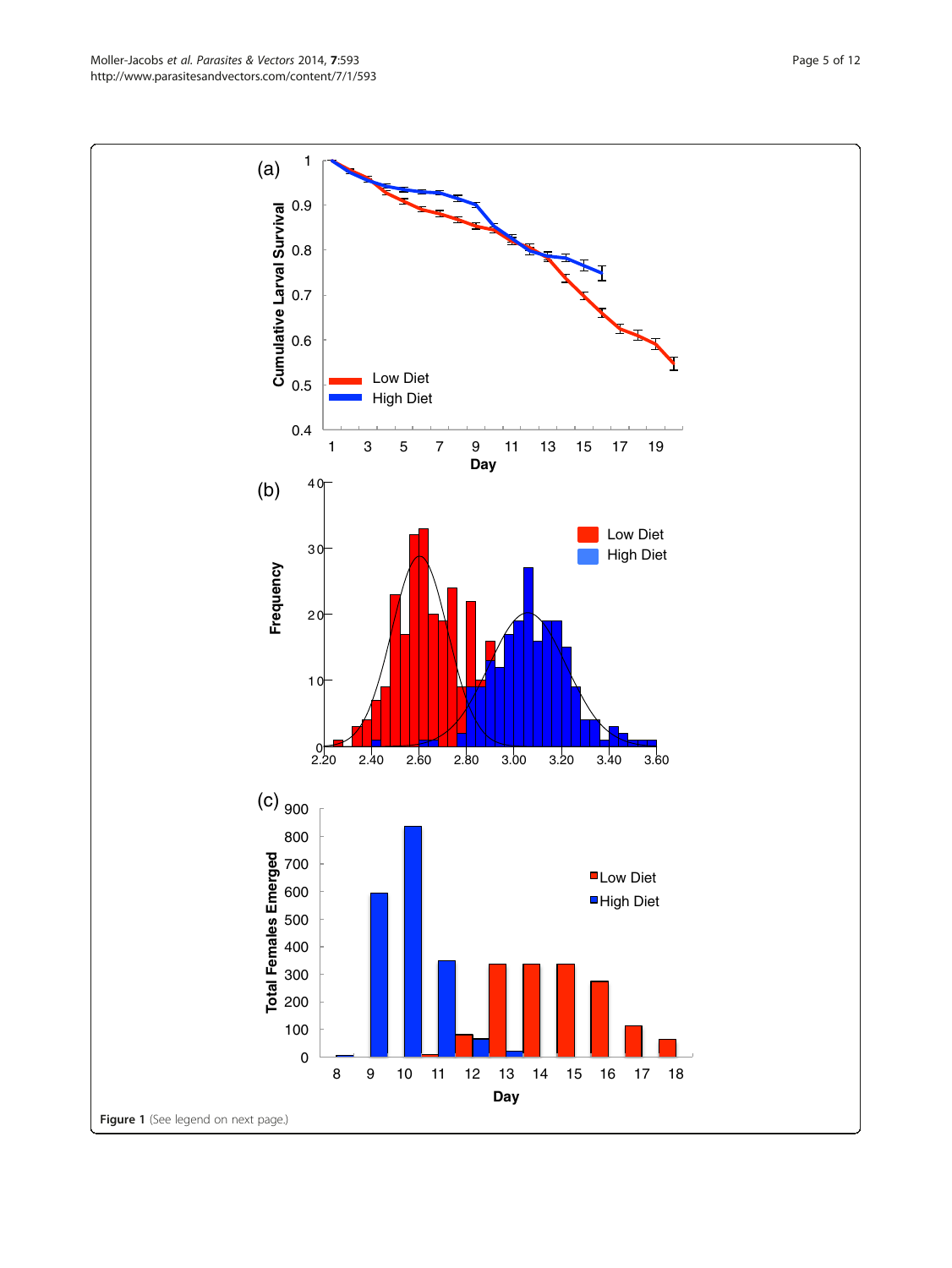Moller-Jacobs et al. Parasites & Vectors 2014, 7:593 Page 5 of 12 http://www.parasitesandvectors.com/content/7/1/593

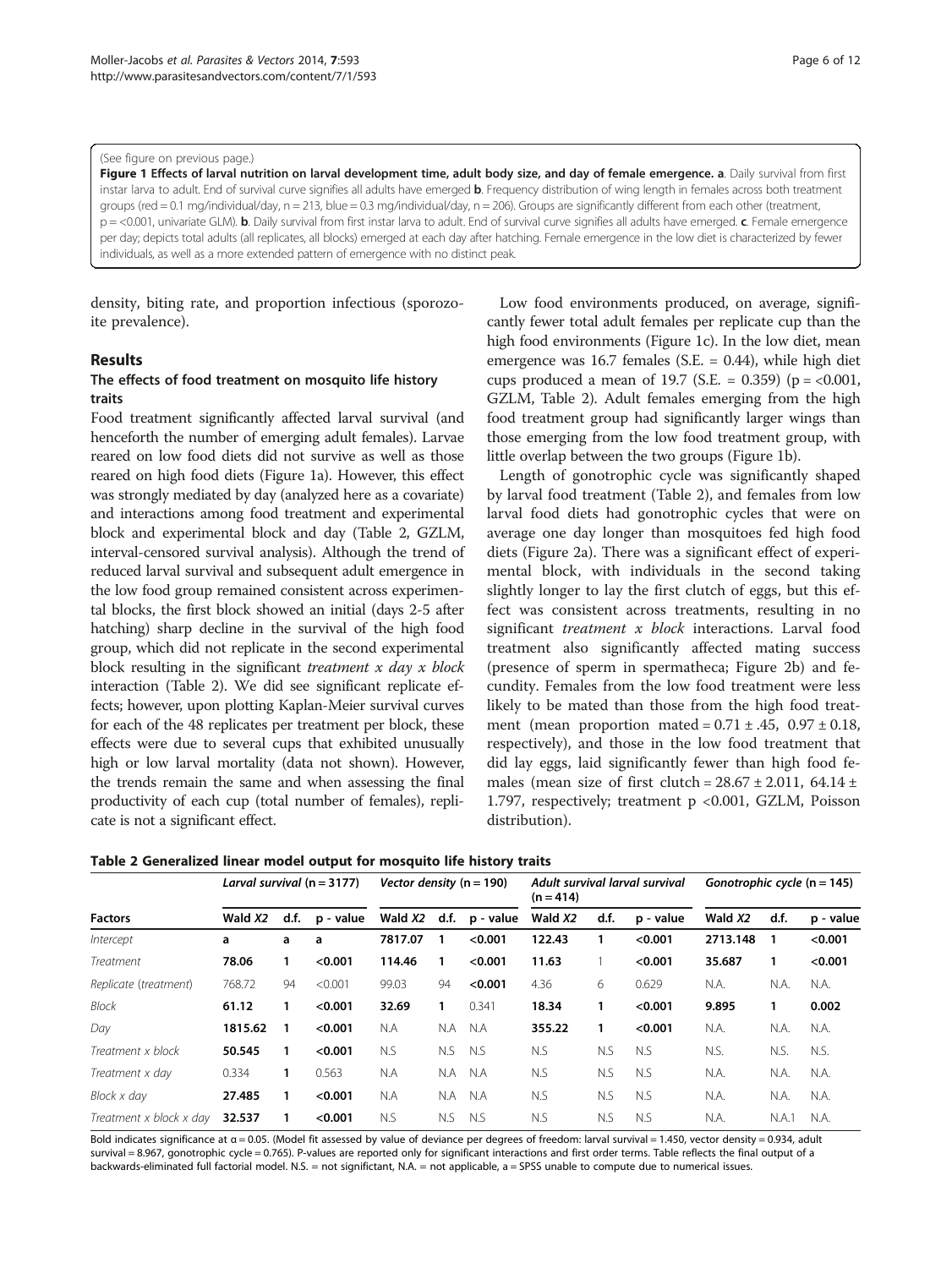#### <span id="page-5-0"></span>(See figure on previous page.)

Figure 1 Effects of larval nutrition on larval development time, adult body size, and day of female emergence. a. Daily survival from first instar larva to adult. End of survival curve signifies all adults have emerged b. Frequency distribution of wing length in females across both treatment groups (red = 0.1 mg/individual/day, n = 213, blue = 0.3 mg/individual/day, n = 206). Groups are significantly different from each other (treatment,  $p = < 0.001$ , univariate GLM). **b**. Daily survival from first instar larva to adult. End of survival curve signifies all adults have emerged.  $c$ . Female emergence per day; depicts total adults (all replicates, all blocks) emerged at each day after hatching. Female emergence in the low diet is characterized by fewer individuals, as well as a more extended pattern of emergence with no distinct peak.

density, biting rate, and proportion infectious (sporozoite prevalence).

#### Results

# The effects of food treatment on mosquito life history traits

Food treatment significantly affected larval survival (and henceforth the number of emerging adult females). Larvae reared on low food diets did not survive as well as those reared on high food diets (Figure 1a). However, this effect was strongly mediated by day (analyzed here as a covariate) and interactions among food treatment and experimental block and experimental block and day (Table 2, GZLM, interval-censored survival analysis). Although the trend of reduced larval survival and subsequent adult emergence in the low food group remained consistent across experimental blocks, the first block showed an initial (days 2-5 after hatching) sharp decline in the survival of the high food group, which did not replicate in the second experimental block resulting in the significant *treatment*  $x$  *day*  $x$  *block* interaction (Table 2). We did see significant replicate effects; however, upon plotting Kaplan-Meier survival curves for each of the 48 replicates per treatment per block, these effects were due to several cups that exhibited unusually high or low larval mortality (data not shown). However, the trends remain the same and when assessing the final productivity of each cup (total number of females), replicate is not a significant effect.

Low food environments produced, on average, significantly fewer total adult females per replicate cup than the high food environments (Figure 1c). In the low diet, mean emergence was 16.7 females (S.E. = 0.44), while high diet cups produced a mean of 19.7 (S.E. =  $0.359$ ) (p = <0.001, GZLM, Table 2). Adult females emerging from the high food treatment group had significantly larger wings than those emerging from the low food treatment group, with little overlap between the two groups (Figure 1b).

Length of gonotrophic cycle was significantly shaped by larval food treatment (Table 2), and females from low larval food diets had gonotrophic cycles that were on average one day longer than mosquitoes fed high food diets (Figure [2a](#page-6-0)). There was a significant effect of experimental block, with individuals in the second taking slightly longer to lay the first clutch of eggs, but this effect was consistent across treatments, resulting in no significant *treatment* x block interactions. Larval food treatment also significantly affected mating success (presence of sperm in spermatheca; Figure [2b](#page-6-0)) and fecundity. Females from the low food treatment were less likely to be mated than those from the high food treatment (mean proportion mated =  $0.71 \pm .45$ ,  $0.97 \pm 0.18$ , respectively), and those in the low food treatment that did lay eggs, laid significantly fewer than high food females (mean size of first clutch =  $28.67 \pm 2.011$ ,  $64.14 \pm$ 1.797, respectively; treatment p <0.001, GZLM, Poisson distribution).

Table 2 Generalized linear model output for mosquito life history traits

|                         | Larval survival $(n = 3177)$ |      |           | Vector density ( $n = 190$ ) |      |           | Adult survival larval survival<br>$(n = 414)$ |      |           | Gonotrophic cycle $(n = 145)$ |       |           |
|-------------------------|------------------------------|------|-----------|------------------------------|------|-----------|-----------------------------------------------|------|-----------|-------------------------------|-------|-----------|
| <b>Factors</b>          | Wald X2                      | d.f. | p - value | Wald X2                      | d.f. | p - value | Wald X2                                       | d.f. | p - value | Wald X2                       | d.f.  | p - value |
| Intercept               | a                            | a    | a         | 7817.07                      | 1    | < 0.001   | 122.43                                        |      | < 0.001   | 2713.148                      |       | < 0.001   |
| Treatment               | 78.06                        |      | < 0.001   | 114.46                       | 1    | < 0.001   | 11.63                                         |      | < 0.001   | 35.687                        | 1     | < 0.001   |
| Replicate (treatment)   | 768.72                       | 94   | < 0.001   | 99.03                        | 94   | < 0.001   | 4.36                                          | 6    | 0.629     | N.A.                          | N.A.  | N.A.      |
| Block                   | 61.12                        |      | < 0.001   | 32.69                        | 1    | 0.341     | 18.34                                         | 1    | < 0.001   | 9.895                         | 1     | 0.002     |
| Day                     | 1815.62                      |      | < 0.001   | N.A                          | N.A  | N.A       | 355.22                                        | 1    | < 0.001   | N.A.                          | N.A.  | N.A.      |
| Treatment x block       | 50.545                       |      | < 0.001   | N.S                          | N.S  | N.S       | N.S                                           | N.S  | N.S       | N.S.                          | N.S.  | N.S.      |
| Treatment x day         | 0.334                        | 1    | 0.563     | N.A                          | N.A  | N.A       | N.S                                           | N.S  | N.S       | N.A.                          | N.A.  | N.A.      |
| Block x day             | 27.485                       |      | < 0.001   | N.A                          | N.A  | N.A       | N.S                                           | N.S  | N.S       | N.A.                          | N.A.  | N.A.      |
| Treatment x block x day | 32.537                       |      | < 0.001   | N.S                          | N.S  | N.S       | N.S                                           | N.S  | N.S       | N.A.                          | N.A.1 | N.A.      |

Bold indicates significance at α = 0.05. (Model fit assessed by value of deviance per degrees of freedom: larval survival = 1.450, vector density = 0.934, adult survival = 8.967, gonotrophic cycle = 0.765). P-values are reported only for significant interactions and first order terms. Table reflects the final output of a backwards-eliminated full factorial model. N.S. = not significtant, N.A. = not applicable, a = SPSS unable to compute due to numerical issues.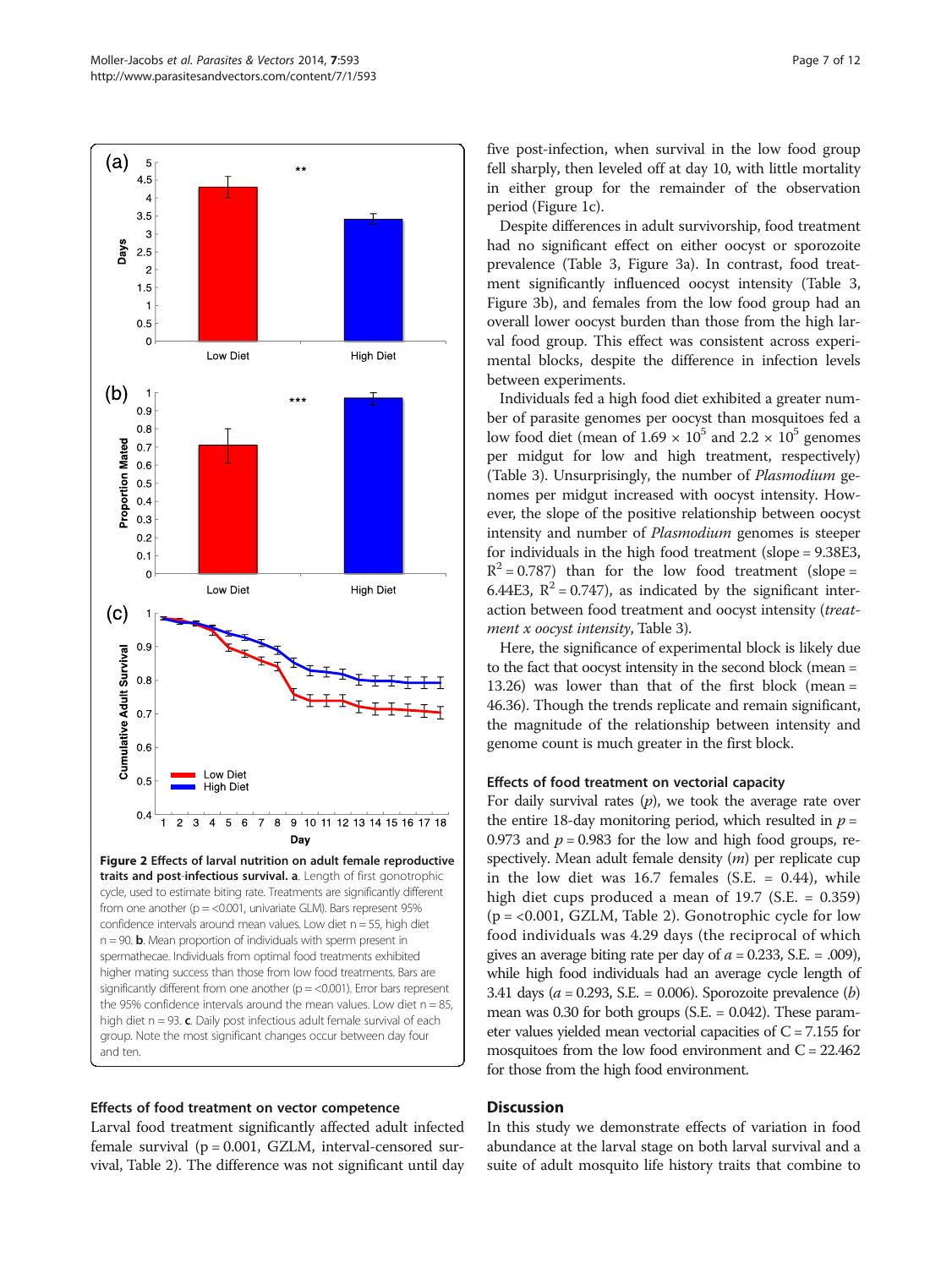<span id="page-6-0"></span>

confidence intervals around mean values. Low diet  $n = 55$ , high diet  $n = 90$ . **b**. Mean proportion of individuals with sperm present in spermathecae. Individuals from optimal food treatments exhibited higher mating success than those from low food treatments. Bars are significantly different from one another ( $p = < 0.001$ ). Error bars represent the 95% confidence intervals around the mean values. Low diet  $n = 85$ , high diet  $n = 93$ . **c**. Daily post infectious adult female survival of each group. Note the most significant changes occur between day four and ten.

#### Effects of food treatment on vector competence

Larval food treatment significantly affected adult infected female survival  $(p = 0.001, GZLM, interval-censored sur$ vival, Table [2\)](#page-5-0). The difference was not significant until day

five post-infection, when survival in the low food group fell sharply, then leveled off at day 10, with little mortality in either group for the remainder of the observation period (Figure [1c](#page-5-0)).

Despite differences in adult survivorship, food treatment had no significant effect on either oocyst or sporozoite prevalence (Table [3](#page-7-0), Figure [3a](#page-8-0)). In contrast, food treatment significantly influenced oocyst intensity (Table [3](#page-7-0), Figure [3](#page-8-0)b), and females from the low food group had an overall lower oocyst burden than those from the high larval food group. This effect was consistent across experimental blocks, despite the difference in infection levels between experiments.

Individuals fed a high food diet exhibited a greater number of parasite genomes per oocyst than mosquitoes fed a low food diet (mean of  $1.69 \times 10^5$  and  $2.2 \times 10^5$  genomes per midgut for low and high treatment, respectively) (Table [3\)](#page-7-0). Unsurprisingly, the number of Plasmodium genomes per midgut increased with oocyst intensity. However, the slope of the positive relationship between oocyst intensity and number of Plasmodium genomes is steeper for individuals in the high food treatment (slope = 9.38E3,  $R^2 = 0.787$ ) than for the low food treatment (slope = 6.44E3,  $R^2 = 0.747$ , as indicated by the significant interaction between food treatment and oocyst intensity (treatment *x* oocyst intensity, Table [3\)](#page-7-0).

Here, the significance of experimental block is likely due to the fact that oocyst intensity in the second block (mean = 13.26) was lower than that of the first block (mean  $=$ 46.36). Though the trends replicate and remain significant, the magnitude of the relationship between intensity and genome count is much greater in the first block.

## Effects of food treatment on vectorial capacity

For daily survival rates  $(p)$ , we took the average rate over the entire 18-day monitoring period, which resulted in  $p =$ 0.973 and  $p = 0.983$  for the low and high food groups, respectively. Mean adult female density (m) per replicate cup in the low diet was  $16.7$  females (S.E. = 0.44), while high diet cups produced a mean of 19.7 (S.E. = 0.359)  $(p = 0.001, GZLM, Table 2)$  $(p = 0.001, GZLM, Table 2)$  $(p = 0.001, GZLM, Table 2)$ . Gonotrophic cycle for low food individuals was 4.29 days (the reciprocal of which gives an average biting rate per day of  $a = 0.233$ , S.E. = .009), while high food individuals had an average cycle length of 3.41 days ( $a = 0.293$ , S.E. = 0.006). Sporozoite prevalence (b) mean was  $0.30$  for both groups (S.E.  $= 0.042$ ). These parameter values yielded mean vectorial capacities of  $C = 7.155$  for mosquitoes from the low food environment and  $C = 22.462$ for those from the high food environment.

# **Discussion**

In this study we demonstrate effects of variation in food abundance at the larval stage on both larval survival and a suite of adult mosquito life history traits that combine to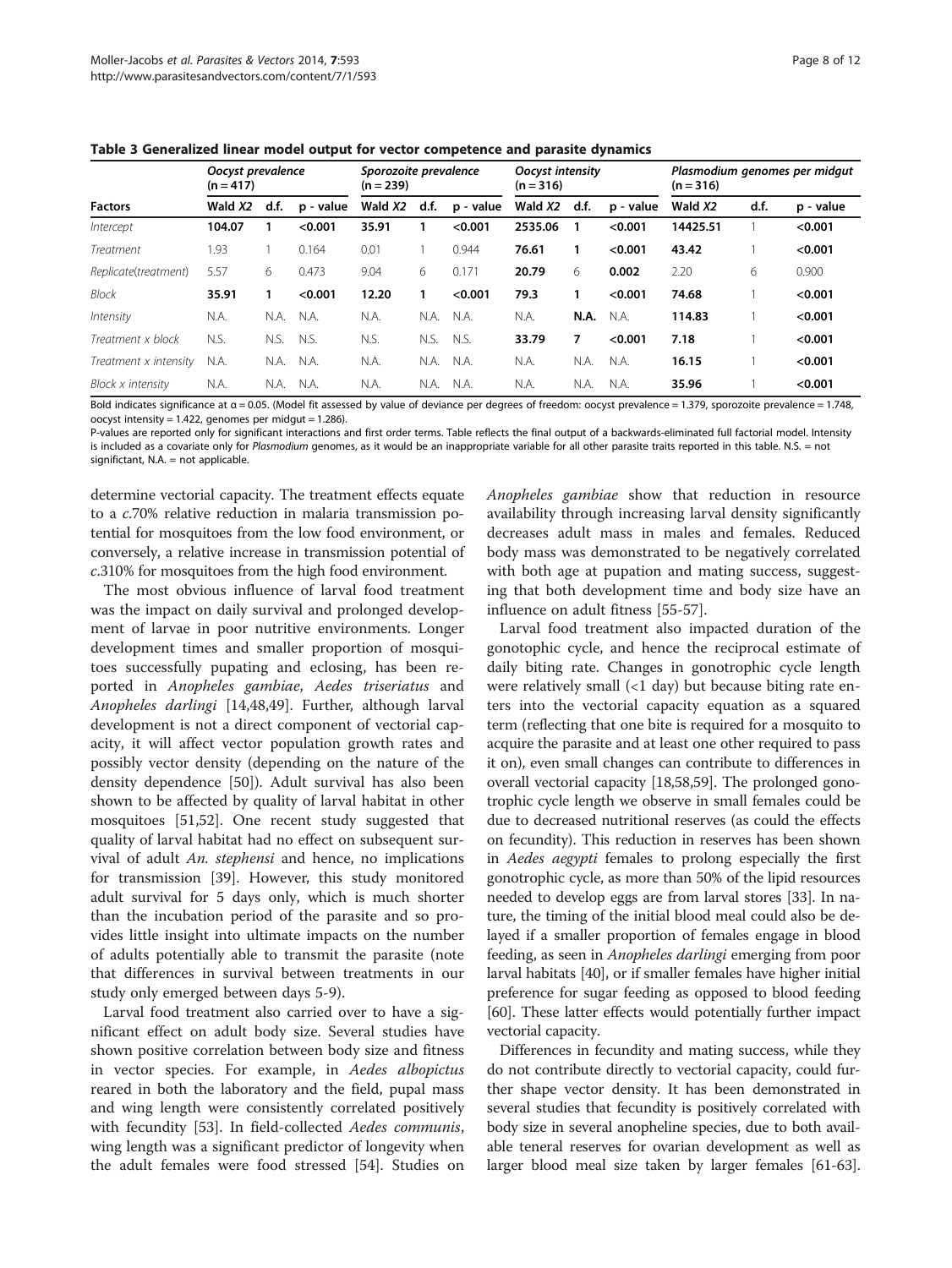<span id="page-7-0"></span>

| Table 3 Generalized linear model output for vector competence and parasite dynamics |  |  |  |
|-------------------------------------------------------------------------------------|--|--|--|
|-------------------------------------------------------------------------------------|--|--|--|

|                       | Oocyst prevalence<br>$(n = 417)$ |      |           | Sporozoite prevalence<br>$(n = 239)$ |      |           | Oocyst intensity<br>$(n = 316)$ |             |           | Plasmodium genomes per midgut<br>$(n = 316)$ |      |           |
|-----------------------|----------------------------------|------|-----------|--------------------------------------|------|-----------|---------------------------------|-------------|-----------|----------------------------------------------|------|-----------|
| <b>Factors</b>        | Wald X2                          | d.f. | p - value | Wald X2                              | d.f. | p - value | Wald X2                         | d.f.        | p - value | Wald X2                                      | d.f. | p - value |
| Intercept             | 104.07                           |      | < 0.001   | 35.91                                |      | < 0.001   | 2535.06                         |             | < 0.001   | 14425.51                                     |      | < 0.001   |
| Treatment             | 1.93                             |      | 0.164     | 0.01                                 |      | 0.944     | 76.61                           |             | < 0.001   | 43.42                                        |      | < 0.001   |
| Replicate(treatment)  | 5.57                             | 6    | 0.473     | 9.04                                 | 6    | 0.171     | 20.79                           | 6           | 0.002     | 2.20                                         | 6    | 0.900     |
| <b>Block</b>          | 35.91                            |      | < 0.001   | 12.20                                |      | < 0.001   | 79.3                            |             | < 0.001   | 74.68                                        |      | < 0.001   |
| Intensity             | N.A.                             | N.A. | N.A.      | N.A.                                 | N.A. | N.A.      | N.A.                            | <b>N.A.</b> | N.A.      | 114.83                                       |      | < 0.001   |
| Treatment x block     | N.S.                             | N.S. | N.S.      | N.S.                                 | N.S. | N.S.      | 33.79                           | 7           | < 0.001   | 7.18                                         |      | < 0.001   |
| Treatment x intensity | N.A.                             | N.A. | N.A.      | N.A.                                 | N.A. | N.A.      | N.A.                            | N.A.        | N.A.      | 16.15                                        |      | < 0.001   |
| Block x intensity     | N.A.                             | N.A. | N.A.      | N.A.                                 | N.A. | N.A.      | N.A.                            | N.A.        | N.A.      | 35.96                                        |      | < 0.001   |

Bold indicates significance at α = 0.05. (Model fit assessed by value of deviance per degrees of freedom: oocyst prevalence = 1.379, sporozoite prevalence = 1.748, oocyst intensity = 1.422, genomes per midgut = 1.286).

P-values are reported only for significant interactions and first order terms. Table reflects the final output of a backwards-eliminated full factorial model. Intensity is included as a covariate only for Plasmodium genomes, as it would be an inappropriate variable for all other parasite traits reported in this table. N.S. = not significtant, N.A. = not applicable.

determine vectorial capacity. The treatment effects equate to a c.70% relative reduction in malaria transmission potential for mosquitoes from the low food environment, or conversely, a relative increase in transmission potential of c.310% for mosquitoes from the high food environment.

The most obvious influence of larval food treatment was the impact on daily survival and prolonged development of larvae in poor nutritive environments. Longer development times and smaller proportion of mosquitoes successfully pupating and eclosing, has been reported in Anopheles gambiae, Aedes triseriatus and Anopheles darlingi [\[14](#page-9-0)[,48,49](#page-10-0)]. Further, although larval development is not a direct component of vectorial capacity, it will affect vector population growth rates and possibly vector density (depending on the nature of the density dependence [\[50\]](#page-10-0)). Adult survival has also been shown to be affected by quality of larval habitat in other mosquitoes [[51,52](#page-10-0)]. One recent study suggested that quality of larval habitat had no effect on subsequent survival of adult An. stephensi and hence, no implications for transmission [[39\]](#page-10-0). However, this study monitored adult survival for 5 days only, which is much shorter than the incubation period of the parasite and so provides little insight into ultimate impacts on the number of adults potentially able to transmit the parasite (note that differences in survival between treatments in our study only emerged between days 5-9).

Larval food treatment also carried over to have a significant effect on adult body size. Several studies have shown positive correlation between body size and fitness in vector species. For example, in Aedes albopictus reared in both the laboratory and the field, pupal mass and wing length were consistently correlated positively with fecundity [\[53](#page-10-0)]. In field-collected *Aedes communis*, wing length was a significant predictor of longevity when the adult females were food stressed [[54\]](#page-10-0). Studies on Anopheles gambiae show that reduction in resource availability through increasing larval density significantly decreases adult mass in males and females. Reduced body mass was demonstrated to be negatively correlated with both age at pupation and mating success, suggesting that both development time and body size have an influence on adult fitness [\[55-57](#page-10-0)].

Larval food treatment also impacted duration of the gonotophic cycle, and hence the reciprocal estimate of daily biting rate. Changes in gonotrophic cycle length were relatively small (<1 day) but because biting rate enters into the vectorial capacity equation as a squared term (reflecting that one bite is required for a mosquito to acquire the parasite and at least one other required to pass it on), even small changes can contribute to differences in overall vectorial capacity [[18](#page-9-0)[,58,59](#page-10-0)]. The prolonged gonotrophic cycle length we observe in small females could be due to decreased nutritional reserves (as could the effects on fecundity). This reduction in reserves has been shown in Aedes aegypti females to prolong especially the first gonotrophic cycle, as more than 50% of the lipid resources needed to develop eggs are from larval stores [[33](#page-10-0)]. In nature, the timing of the initial blood meal could also be delayed if a smaller proportion of females engage in blood feeding, as seen in Anopheles darlingi emerging from poor larval habitats [\[40\]](#page-10-0), or if smaller females have higher initial preference for sugar feeding as opposed to blood feeding [[60](#page-10-0)]. These latter effects would potentially further impact vectorial capacity.

Differences in fecundity and mating success, while they do not contribute directly to vectorial capacity, could further shape vector density. It has been demonstrated in several studies that fecundity is positively correlated with body size in several anopheline species, due to both available teneral reserves for ovarian development as well as larger blood meal size taken by larger females [[61](#page-10-0)-[63](#page-10-0)].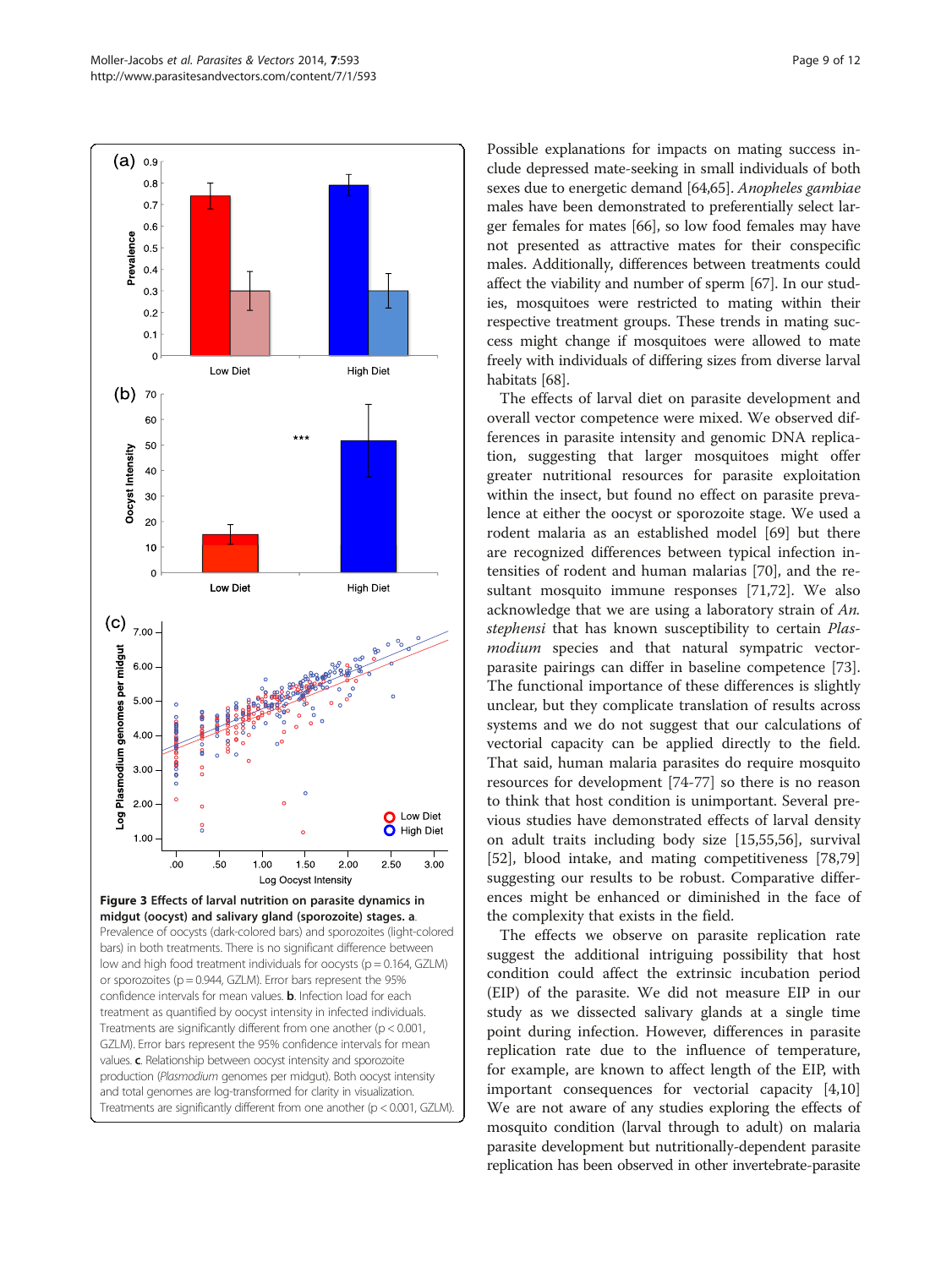<span id="page-8-0"></span>

Treatments are significantly different from one another (p < 0.001, GZLM).

Possible explanations for impacts on mating success include depressed mate-seeking in small individuals of both sexes due to energetic demand [[64,65](#page-10-0)]. Anopheles gambiae males have been demonstrated to preferentially select larger females for mates [\[66\]](#page-10-0), so low food females may have not presented as attractive mates for their conspecific males. Additionally, differences between treatments could affect the viability and number of sperm [\[67\]](#page-10-0). In our studies, mosquitoes were restricted to mating within their respective treatment groups. These trends in mating success might change if mosquitoes were allowed to mate freely with individuals of differing sizes from diverse larval habitats [[68](#page-10-0)].

The effects of larval diet on parasite development and overall vector competence were mixed. We observed differences in parasite intensity and genomic DNA replication, suggesting that larger mosquitoes might offer greater nutritional resources for parasite exploitation within the insect, but found no effect on parasite prevalence at either the oocyst or sporozoite stage. We used a rodent malaria as an established model [[69](#page-10-0)] but there are recognized differences between typical infection intensities of rodent and human malarias [[70\]](#page-10-0), and the resultant mosquito immune responses [\[71,72\]](#page-10-0). We also acknowledge that we are using a laboratory strain of An. stephensi that has known susceptibility to certain Plasmodium species and that natural sympatric vectorparasite pairings can differ in baseline competence [\[73](#page-11-0)]. The functional importance of these differences is slightly unclear, but they complicate translation of results across systems and we do not suggest that our calculations of vectorial capacity can be applied directly to the field. That said, human malaria parasites do require mosquito resources for development [\[74-77](#page-11-0)] so there is no reason to think that host condition is unimportant. Several previous studies have demonstrated effects of larval density on adult traits including body size [[15,](#page-9-0)[55,56\]](#page-10-0), survival [[52\]](#page-10-0), blood intake, and mating competitiveness [[78](#page-11-0),[79](#page-11-0)] suggesting our results to be robust. Comparative differences might be enhanced or diminished in the face of the complexity that exists in the field.

The effects we observe on parasite replication rate suggest the additional intriguing possibility that host condition could affect the extrinsic incubation period (EIP) of the parasite. We did not measure EIP in our study as we dissected salivary glands at a single time point during infection. However, differences in parasite replication rate due to the influence of temperature, for example, are known to affect length of the EIP, with important consequences for vectorial capacity [[4](#page-9-0),[10](#page-9-0)] We are not aware of any studies exploring the effects of mosquito condition (larval through to adult) on malaria parasite development but nutritionally-dependent parasite replication has been observed in other invertebrate-parasite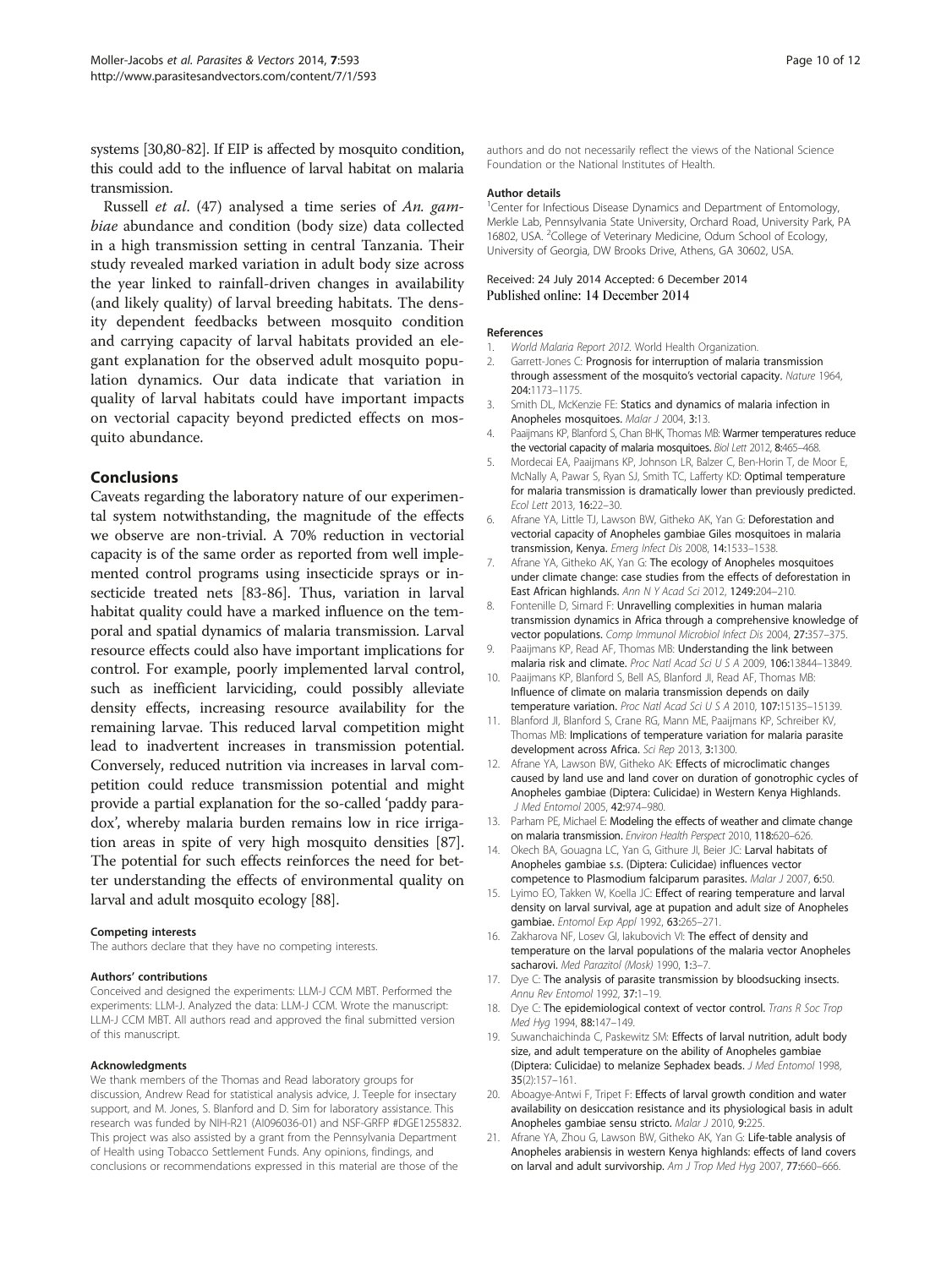<span id="page-9-0"></span>systems [\[30,](#page-10-0)[80](#page-11-0)-[82](#page-11-0)]. If EIP is affected by mosquito condition, this could add to the influence of larval habitat on malaria transmission.

Russell et al. (47) analysed a time series of An. gambiae abundance and condition (body size) data collected in a high transmission setting in central Tanzania. Their study revealed marked variation in adult body size across the year linked to rainfall-driven changes in availability (and likely quality) of larval breeding habitats. The density dependent feedbacks between mosquito condition and carrying capacity of larval habitats provided an elegant explanation for the observed adult mosquito population dynamics. Our data indicate that variation in quality of larval habitats could have important impacts on vectorial capacity beyond predicted effects on mosquito abundance.

# Conclusions

Caveats regarding the laboratory nature of our experimental system notwithstanding, the magnitude of the effects we observe are non-trivial. A 70% reduction in vectorial capacity is of the same order as reported from well implemented control programs using insecticide sprays or insecticide treated nets [\[83-86\]](#page-11-0). Thus, variation in larval habitat quality could have a marked influence on the temporal and spatial dynamics of malaria transmission. Larval resource effects could also have important implications for control. For example, poorly implemented larval control, such as inefficient larviciding, could possibly alleviate density effects, increasing resource availability for the remaining larvae. This reduced larval competition might lead to inadvertent increases in transmission potential. Conversely, reduced nutrition via increases in larval competition could reduce transmission potential and might provide a partial explanation for the so-called 'paddy paradox', whereby malaria burden remains low in rice irrigation areas in spite of very high mosquito densities [[87](#page-11-0)]. The potential for such effects reinforces the need for better understanding the effects of environmental quality on larval and adult mosquito ecology [\[88](#page-11-0)].

#### Competing interests

The authors declare that they have no competing interests.

#### Authors' contributions

Conceived and designed the experiments: LLM-J CCM MBT. Performed the experiments: LLM-J. Analyzed the data: LLM-J CCM. Wrote the manuscript: LLM-J CCM MBT. All authors read and approved the final submitted version of this manuscript.

#### Acknowledgments

We thank members of the Thomas and Read laboratory groups for discussion, Andrew Read for statistical analysis advice, J. Teeple for insectary support, and M. Jones, S. Blanford and D. Sim for laboratory assistance. This research was funded by NIH-R21 (AI096036-01) and NSF-GRFP #DGE1255832. This project was also assisted by a grant from the Pennsylvania Department of Health using Tobacco Settlement Funds. Any opinions, findings, and conclusions or recommendations expressed in this material are those of the

authors and do not necessarily reflect the views of the National Science Foundation or the National Institutes of Health.

#### Author details

<sup>1</sup> Center for Infectious Disease Dynamics and Department of Entomology Merkle Lab, Pennsylvania State University, Orchard Road, University Park, PA 16802, USA. <sup>2</sup>College of Veterinary Medicine, Odum School of Ecology, University of Georgia, DW Brooks Drive, Athens, GA 30602, USA.

#### Received: 24 July 2014 Accepted: 6 December 2014 Published online: 14 December 2014

#### References

- 1. World Malaria Report 2012. World Health Organization.
- 2. Garrett-Jones C: Prognosis for interruption of malaria transmission through assessment of the mosquito's vectorial capacity. Nature 1964, 204:1173–1175.
- 3. Smith DL, McKenzie FE: Statics and dynamics of malaria infection in Anopheles mosquitoes. Malar J 2004, 3:13.
- 4. Paaijmans KP, Blanford S, Chan BHK, Thomas MB: Warmer temperatures reduce the vectorial capacity of malaria mosquitoes. Biol Lett 2012, 8:465–468.
- 5. Mordecai EA, Paaijmans KP, Johnson LR, Balzer C, Ben-Horin T, de Moor E, McNally A, Pawar S, Ryan SJ, Smith TC, Lafferty KD: Optimal temperature for malaria transmission is dramatically lower than previously predicted. Ecol Lett 2013, 16:22–30.
- 6. Afrane YA, Little TJ, Lawson BW, Githeko AK, Yan G: Deforestation and vectorial capacity of Anopheles gambiae Giles mosquitoes in malaria transmission, Kenya. Emerg Infect Dis 2008, 14:1533–1538.
- 7. Afrane YA, Githeko AK, Yan G: The ecology of Anopheles mosquitoes under climate change: case studies from the effects of deforestation in East African highlands. Ann N Y Acad Sci 2012, 1249:204–210.
- 8. Fontenille D, Simard F: Unravelling complexities in human malaria transmission dynamics in Africa through a comprehensive knowledge of vector populations. Comp Immunol Microbiol Infect Dis 2004, 27:357–375.
- 9. Paaijmans KP, Read AF, Thomas MB: Understanding the link between malaria risk and climate. Proc Natl Acad Sci U S A 2009, 106:13844–13849.
- 10. Paaijmans KP, Blanford S, Bell AS, Blanford JI, Read AF, Thomas MB: Influence of climate on malaria transmission depends on daily temperature variation. Proc Natl Acad Sci U S A 2010, 107:15135-15139.
- 11. Blanford JI, Blanford S, Crane RG, Mann ME, Paaijmans KP, Schreiber KV, Thomas MB: Implications of temperature variation for malaria parasite development across Africa. Sci Rep 2013, 3:1300.
- 12. Afrane YA, Lawson BW, Githeko AK: Effects of microclimatic changes caused by land use and land cover on duration of gonotrophic cycles of Anopheles gambiae (Diptera: Culicidae) in Western Kenya Highlands. J Med Entomol 2005, 42:974–980.
- 13. Parham PE, Michael E: Modeling the effects of weather and climate change on malaria transmission. Environ Health Perspect 2010, 118:620–626.
- 14. Okech BA, Gouagna LC, Yan G, Githure JI, Beier JC: Larval habitats of Anopheles gambiae s.s. (Diptera: Culicidae) influences vector competence to Plasmodium falciparum parasites. Malar J 2007, 6:50.
- 15. Lyimo EO, Takken W, Koella JC: Effect of rearing temperature and larval density on larval survival, age at pupation and adult size of Anopheles gambiae. Entomol Exp Appl 1992, 63:265-271.
- 16. Zakharova NF, Losev GI, lakubovich VI: The effect of density and temperature on the larval populations of the malaria vector Anopheles sacharovi. Med Parazitol (Mosk) 1990, 1:3-7.
- 17. Dye C: The analysis of parasite transmission by bloodsucking insects. Annu Rev Entomol 1992, 37:1–19.
- 18. Dye C: The epidemiological context of vector control. Trans R Soc Trop Med Hyg 1994, 88:147–149.
- 19. Suwanchaichinda C, Paskewitz SM: Effects of larval nutrition, adult body size, and adult temperature on the ability of Anopheles gambiae (Diptera: Culicidae) to melanize Sephadex beads. J Med Entomol 1998, 35(2):157–161.
- 20. Aboagye-Antwi F, Tripet F: Effects of larval growth condition and water availability on desiccation resistance and its physiological basis in adult Anopheles gambiae sensu stricto. Malar J 2010, 9:225
- 21. Afrane YA, Zhou G, Lawson BW, Githeko AK, Yan G: Life-table analysis of Anopheles arabiensis in western Kenya highlands: effects of land covers on larval and adult survivorship. Am J Trop Med Hyg 2007, 77:660-666.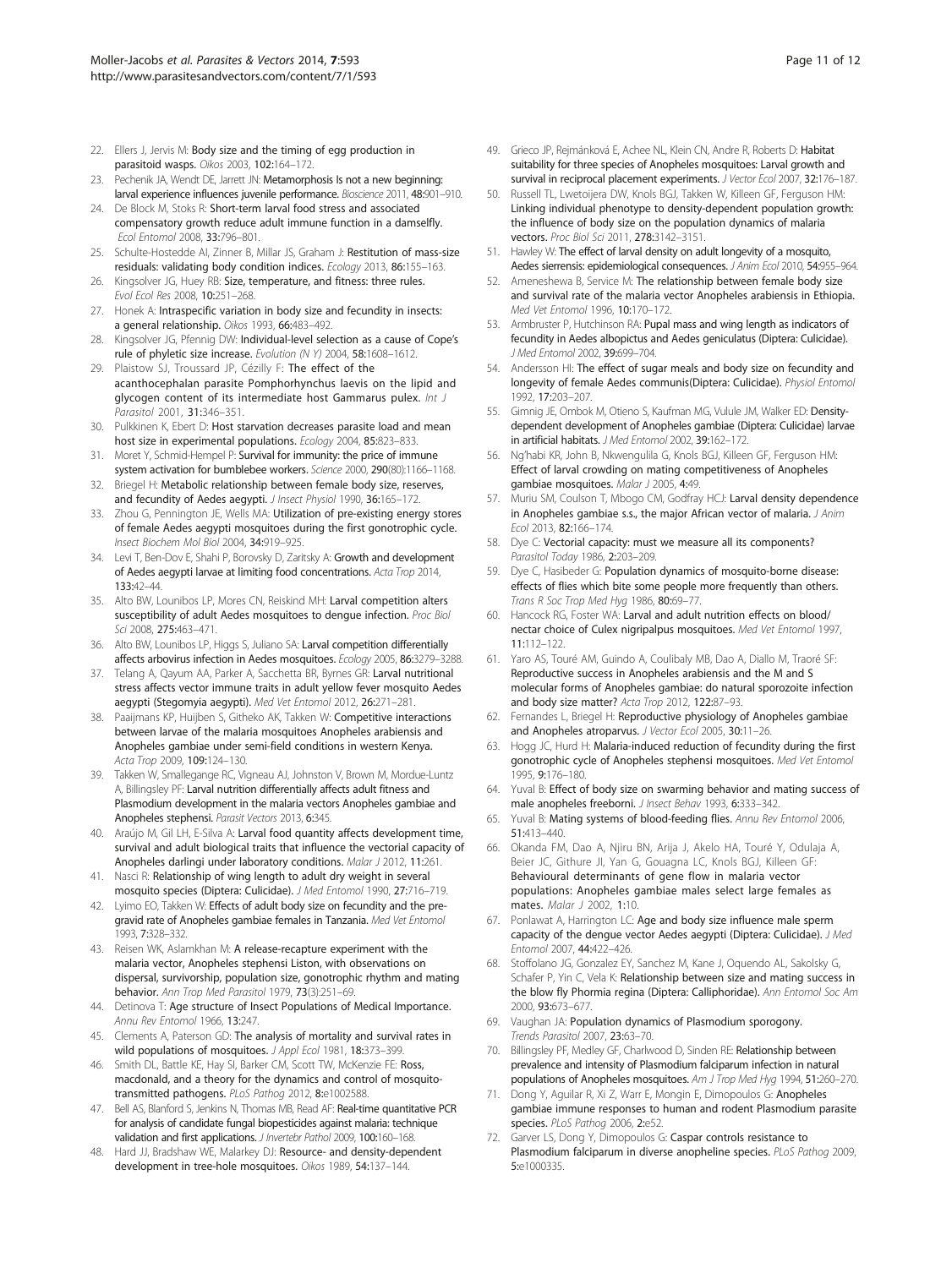- <span id="page-10-0"></span>22. Ellers J, Jervis M: Body size and the timing of egg production in parasitoid wasps. Oikos 2003, 102:164–172.
- 23. Pechenik JA, Wendt DE, Jarrett JN: Metamorphosis Is not a new beginning: larval experience influences juvenile performance. Bioscience 2011, 48:901–910.
- 24. De Block M, Stoks R: Short-term larval food stress and associated compensatory growth reduce adult immune function in a damselfly. Ecol Entomol 2008, 33:796–801.
- 25. Schulte-Hostedde AI, Zinner B, Millar JS, Graham J: Restitution of mass-size residuals: validating body condition indices. Ecology 2013, 86:155–163.
- 26. Kingsolver JG, Huey RB: Size, temperature, and fitness: three rules. Evol Ecol Res 2008, 10:251–268.
- 27. Honek A: Intraspecific variation in body size and fecundity in insects: a general relationship. Oikos 1993, 66:483–492.
- 28. Kingsolver JG, Pfennig DW: Individual-level selection as a cause of Cope's rule of phyletic size increase. Evolution (N Y) 2004, 58:1608–1612.
- 29. Plaistow SJ, Troussard JP, Cézilly F: The effect of the acanthocephalan parasite Pomphorhynchus laevis on the lipid and glycogen content of its intermediate host Gammarus pulex. Int J Parasitol 2001, 31:346–351.
- 30. Pulkkinen K, Ebert D: Host starvation decreases parasite load and mean host size in experimental populations. Ecology 2004, 85:823–833.
- 31. Moret Y, Schmid-Hempel P: Survival for immunity: the price of immune system activation for bumblebee workers. Science 2000, 290(80):1166–1168.
- 32. Briegel H: Metabolic relationship between female body size, reserves, and fecundity of Aedes aegypti. J Insect Physiol 1990, 36:165-172.
- 33. Zhou G, Pennington JE, Wells MA: Utilization of pre-existing energy stores of female Aedes aegypti mosquitoes during the first gonotrophic cycle. Insect Biochem Mol Biol 2004, 34:919–925.
- 34. Levi T, Ben-Dov E, Shahi P, Borovsky D, Zaritsky A: Growth and development of Aedes aegypti larvae at limiting food concentrations. Acta Trop 2014, 133:42–44.
- 35. Alto BW, Lounibos LP, Mores CN, Reiskind MH: Larval competition alters susceptibility of adult Aedes mosquitoes to dengue infection. Proc Biol Sci 2008, 275:463–471.
- 36. Alto BW, Lounibos LP, Higgs S, Juliano SA: Larval competition differentially affects arbovirus infection in Aedes mosquitoes. Ecology 2005, 86:3279–3288.
- 37. Telang A, Qayum AA, Parker A, Sacchetta BR, Byrnes GR: Larval nutritional stress affects vector immune traits in adult yellow fever mosquito Aedes aegypti (Stegomyia aegypti). Med Vet Entomol 2012, 26:271–281.
- 38. Paaijmans KP, Huijben S, Githeko AK, Takken W: Competitive interactions between larvae of the malaria mosquitoes Anopheles arabiensis and Anopheles gambiae under semi-field conditions in western Kenya. Acta Trop 2009, 109:124-130.
- 39. Takken W, Smallegange RC, Vigneau AJ, Johnston V, Brown M, Mordue-Luntz A, Billingsley PF: Larval nutrition differentially affects adult fitness and Plasmodium development in the malaria vectors Anopheles gambiae and Anopheles stephensi. Parasit Vectors 2013, 6:345.
- 40. Araújo M, Gil LH, E-Silva A: Larval food quantity affects development time, survival and adult biological traits that influence the vectorial capacity of Anopheles darlingi under laboratory conditions. Malar J 2012, 11:261.
- 41. Nasci R: Relationship of wing length to adult dry weight in several mosquito species (Diptera: Culicidae). J Med Entomol 1990, 27:716–719.
- 42. Lyimo EO, Takken W: Effects of adult body size on fecundity and the pregravid rate of Anopheles gambiae females in Tanzania. Med Vet Entomol 1993, 7:328–332.
- 43. Reisen WK, Aslamkhan M: A release-recapture experiment with the malaria vector, Anopheles stephensi Liston, with observations on dispersal, survivorship, population size, gonotrophic rhythm and mating behavior. Ann Trop Med Parasitol 1979, 73(3):251–69.
- 44. Detinova T: Age structure of Insect Populations of Medical Importance. Annu Rev Entomol 1966, 13:247.
- 45. Clements A, Paterson GD: The analysis of mortality and survival rates in wild populations of mosquitoes. J Appl Ecol 1981, 18:373-399.
- 46. Smith DL, Battle KE, Hay SI, Barker CM, Scott TW, McKenzie FE: Ross, macdonald, and a theory for the dynamics and control of mosquitotransmitted pathogens. PLoS Pathog 2012, 8:e1002588.
- 47. Bell AS, Blanford S, Jenkins N, Thomas MB, Read AF: Real-time quantitative PCR for analysis of candidate fungal biopesticides against malaria: technique validation and first applications. J Invertebr Pathol 2009, 100:160-168.
- 48. Hard JJ, Bradshaw WE, Malarkey DJ: Resource- and density-dependent development in tree-hole mosquitoes. Oikos 1989, 54:137–144.
- 49. Grieco JP, Rejmánková E, Achee NL, Klein CN, Andre R, Roberts D: Habitat suitability for three species of Anopheles mosquitoes: Larval growth and survival in reciprocal placement experiments. J Vector Ecol 2007, 32:176-187.
- 50. Russell TL, Lwetoijera DW, Knols BGJ, Takken W, Killeen GF, Ferguson HM: Linking individual phenotype to density-dependent population growth: the influence of body size on the population dynamics of malaria vectors. Proc Biol Sci 2011, 278:3142–3151.
- 51. Hawley W: The effect of larval density on adult longevity of a mosquito, Aedes sierrensis: epidemiological consequences. J Anim Ecol 2010, 54:955–964.
- 52. Ameneshewa B, Service M: The relationship between female body size and survival rate of the malaria vector Anopheles arabiensis in Ethiopia. Med Vet Entomol 1996, 10:170–172.
- 53. Armbruster P, Hutchinson RA: Pupal mass and wing length as indicators of fecundity in Aedes albopictus and Aedes geniculatus (Diptera: Culicidae). J Med Entomol 2002, 39:699–704.
- 54. Andersson HI: The effect of sugar meals and body size on fecundity and longevity of female Aedes communis(Diptera: Culicidae). Physiol Entomol 1992, 17:203–207.
- 55. Gimnig JE, Ombok M, Otieno S, Kaufman MG, Vulule JM, Walker ED: Densitydependent development of Anopheles gambiae (Diptera: Culicidae) larvae in artificial habitats. J Med Entomol 2002, 39:162–172.
- 56. Ng'habi KR, John B, Nkwengulila G, Knols BGJ, Killeen GF, Ferguson HM: Effect of larval crowding on mating competitiveness of Anopheles gambiae mosquitoes. Malar J 2005, 4:49.
- 57. Muriu SM, Coulson T, Mbogo CM, Godfray HCJ: Larval density dependence in Anopheles gambiae s.s., the major African vector of malaria. J Anim Ecol 2013, 82:166–174.
- 58. Dye C: Vectorial capacity: must we measure all its components? Parasitol Today 1986, 2:203–209.
- 59. Dye C, Hasibeder G: Population dynamics of mosquito-borne disease: effects of flies which bite some people more frequently than others. Trans R Soc Trop Med Hyg 1986, 80:69-77.
- 60. Hancock RG, Foster WA: Larval and adult nutrition effects on blood/ nectar choice of Culex nigripalpus mosquitoes. Med Vet Entomol 1997, 11:112–122.
- 61. Yaro AS, Touré AM, Guindo A, Coulibaly MB, Dao A, Diallo M, Traoré SF: Reproductive success in Anopheles arabiensis and the M and S molecular forms of Anopheles gambiae: do natural sporozoite infection and body size matter? Acta Trop 2012, 122:87–93.
- 62. Fernandes L, Briegel H: Reproductive physiology of Anopheles gambiae and Anopheles atroparvus. J Vector Ecol 2005, 30:11-26.
- 63. Hogg JC, Hurd H: Malaria-induced reduction of fecundity during the first gonotrophic cycle of Anopheles stephensi mosquitoes. Med Vet Entomol 1995, 9:176–180.
- 64. Yuval B: Effect of body size on swarming behavior and mating success of male anopheles freeborni. J Insect Behav 1993, 6:333-342.
- Yuval B: Mating systems of blood-feeding flies. Annu Rev Entomol 2006, 51:413–440.
- 66. Okanda FM, Dao A, Njiru BN, Arija J, Akelo HA, Touré Y, Odulaja A, Beier JC, Githure JI, Yan G, Gouagna LC, Knols BGJ, Killeen GF: Behavioural determinants of gene flow in malaria vector populations: Anopheles gambiae males select large females as mates. Malar J 2002, 1:10.
- 67. Ponlawat A, Harrington LC: Age and body size influence male sperm capacity of the dengue vector Aedes aegypti (Diptera: Culicidae). J Med Entomol 2007, 44:422–426.
- Stoffolano JG, Gonzalez EY, Sanchez M, Kane J, Oquendo AL, Sakolsky G, Schafer P, Yin C, Vela K: Relationship between size and mating success in the blow fly Phormia regina (Diptera: Calliphoridae). Ann Entomol Soc Am 2000, 93:673–677.
- Vaughan JA: Population dynamics of Plasmodium sporogony. Trends Parasitol 2007, 23:63–70.
- 70. Billingsley PF, Medley GF, Charlwood D, Sinden RE: Relationship between prevalence and intensity of Plasmodium falciparum infection in natural populations of Anopheles mosquitoes. Am J Trop Med Hyg 1994, 51:260-270.
- 71. Dong Y, Aguilar R, Xi Z, Warr E, Mongin E, Dimopoulos G: Anopheles gambiae immune responses to human and rodent Plasmodium parasite species. PLoS Pathog 2006, 2:e52.
- 72. Garver LS, Dong Y, Dimopoulos G: Caspar controls resistance to Plasmodium falciparum in diverse anopheline species. PLoS Pathog 2009, 5:e1000335.